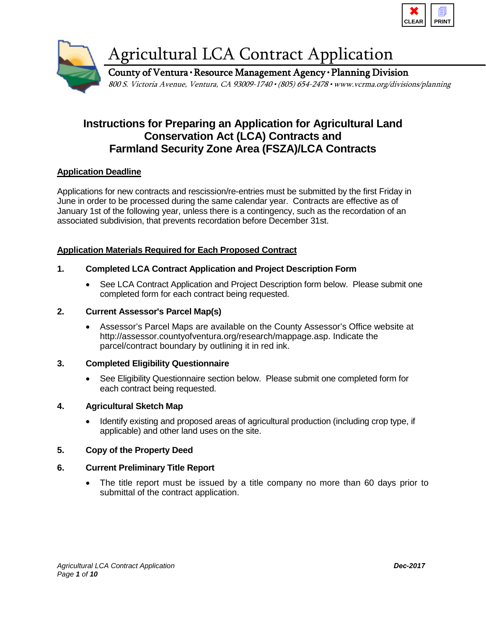



## **Instructions for Preparing an Application for Agricultural Land Conservation Act (LCA) Contracts and Farmland Security Zone Area (FSZA)/LCA Contracts**

#### **Application Deadline**

Applications for new contracts and rescission/re-entries must be submitted by the first Friday in June in order to be processed during the same calendar year. Contracts are effective as of January 1st of the following year, unless there is a contingency, such as the recordation of an associated subdivision, that prevents recordation before December 31st.

#### **Application Materials Required for Each Proposed Contract**

#### **1. Completed LCA Contract Application and Project Description Form**

• See LCA Contract Application and Project Description form below. Please submit one completed form for each contract being requested.

#### **2. Current Assessor's Parcel Map(s)**

• Assessor's Parcel Maps are available on the County Assessor's Office website at http://assessor.countyofventura.org/research/mappage.asp. Indicate the parcel/contract boundary by outlining it in red ink.

#### **3. Completed Eligibility Questionnaire**

• See Eligibility Questionnaire section below. Please submit one completed form for each contract being requested.

#### **4. Agricultural Sketch Map**

• Identify existing and proposed areas of agricultural production (including crop type, if applicable) and other land uses on the site.

#### **5. Copy of the Property Deed**

#### **6. Current Preliminary Title Report**

• The title report must be issued by a title company no more than 60 days prior to submittal of the contract application.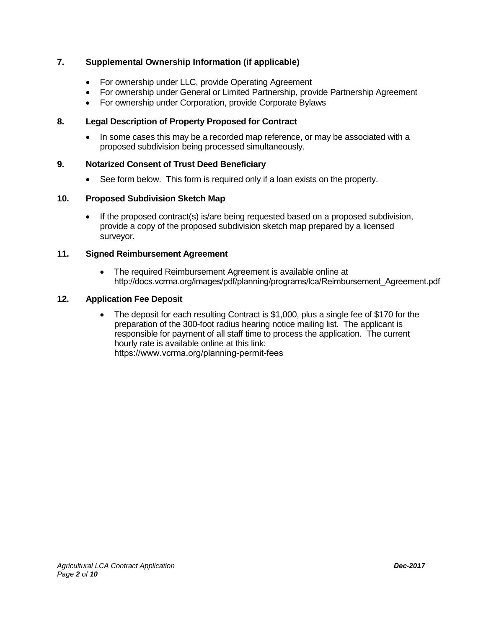#### **7. Supplemental Ownership Information (if applicable)**

- For ownership under LLC, provide Operating Agreement
- For ownership under General or Limited Partnership, provide Partnership Agreement
- For ownership under Corporation, provide Corporate Bylaws

#### **8. Legal Description of Property Proposed for Contract**

• In some cases this may be a recorded map reference, or may be associated with a proposed subdivision being processed simultaneously.

#### **9. Notarized Consent of Trust Deed Beneficiary**

• See form below. This form is required only if a loan exists on the property.

#### **10. Proposed Subdivision Sketch Map**

• If the proposed contract(s) is/are being requested based on a proposed subdivision, provide a copy of the proposed subdivision sketch map prepared by a licensed surveyor.

#### **11. Signed Reimbursement Agreement**

• The required Reimbursement Agreement is available online at http://docs.vcrma.org/images/pdf/planning/programs/lca/Reimbursement\_Agreement.pdf

#### **12. Application Fee Deposit**

• The deposit for each resulting Contract is \$1,000, plus a single fee of \$170 for the preparation of the 300-foot radius hearing notice mailing list. The applicant is responsible for payment of all staff time to process the application. The current hourly rate is available o[nline](www.ventura.org/rma/planning/pdf/fees/PLA%20FY12-13%20Final.pdf) at this link: https://www.vcrma.org/planning-permit-fees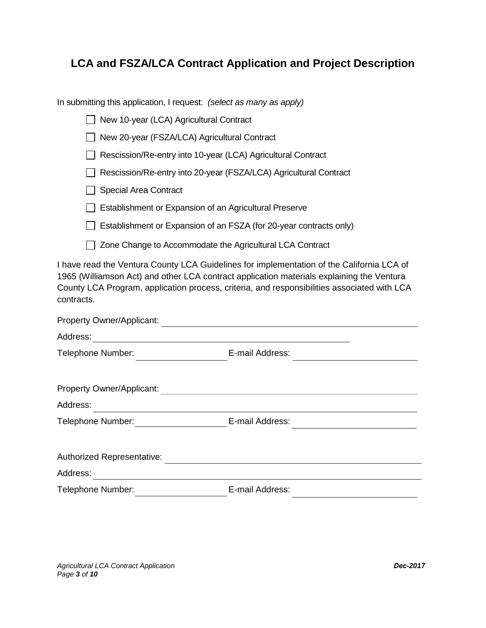## **LCA and FSZA/LCA Contract Application and Project Description**

In submitting this application, I request: *(select as many as apply)*

| New 10-year (LCA) Agricultural Contract<br>$\mathbf{I}$            |  |
|--------------------------------------------------------------------|--|
| New 20-year (FSZA/LCA) Agricultural Contract                       |  |
| Rescission/Re-entry into 10-year (LCA) Agricultural Contract       |  |
| Rescission/Re-entry into 20-year (FSZA/LCA) Agricultural Contract  |  |
| <b>Special Area Contract</b>                                       |  |
| Establishment or Expansion of an Agricultural Preserve             |  |
| Establishment or Expansion of an FSZA (for 20-year contracts only) |  |
|                                                                    |  |

□ Zone Change to Accommodate the Agricultural LCA Contract

I have read the Ventura County LCA Guidelines for implementation of the California LCA of 1965 (Williamson Act) and other LCA contract application materials explaining the Ventura County LCA Program, application process, criteria, and responsibilities associated with LCA contracts.

| Property Owner/Applicant:  |                 |  |
|----------------------------|-----------------|--|
| Address:                   |                 |  |
| Telephone Number:          | E-mail Address: |  |
| Property Owner/Applicant:  |                 |  |
| Address:                   |                 |  |
| Telephone Number:          | E-mail Address: |  |
| Authorized Representative: |                 |  |
| Address:                   |                 |  |
| Telephone Number:          | E-mail Address: |  |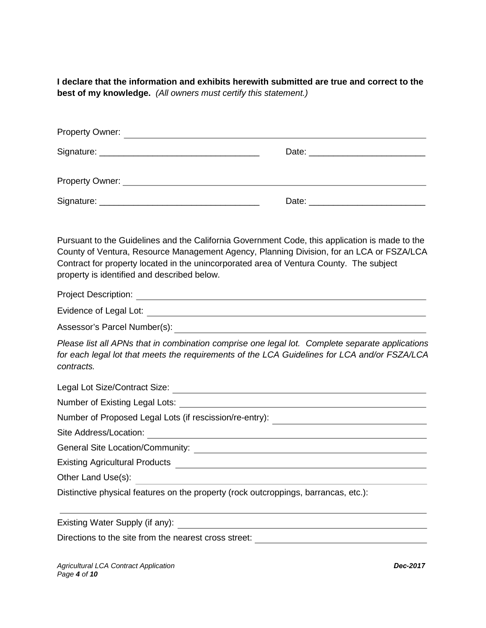**I declare that the information and exhibits herewith submitted are true and correct to the best of my knowledge.** *(All owners must certify this statement.)*

| Property Owner:                                                                                                                                                                                                                |  |
|--------------------------------------------------------------------------------------------------------------------------------------------------------------------------------------------------------------------------------|--|
|                                                                                                                                                                                                                                |  |
| Property Owner: New York Changes and Changes and Changes and Changes and Changes and Changes and Changes and Changes and Changes and Changes and Changes and Changes and Changes and Changes and Changes and Changes and Chang |  |
|                                                                                                                                                                                                                                |  |

Pursuant to the Guidelines and the California Government Code, this application is made to the County of Ventura, Resource Management Agency, Planning Division, for an LCA or FSZA/LCA Contract for property located in the unincorporated area of Ventura County. The subject property is identified and described below.

Project Description:

Evidence of Legal Lot: **Existence of Legal Lot: Existence in the Contract Legal Lot**:

Assessor's Parcel Number(s):

*Please list all APNs that in combination comprise one legal lot. Complete separate applications for each legal lot that meets the requirements of the LCA Guidelines for LCA and/or FSZA/LCA contracts.*

Legal Lot Size/Contract Size:

Number of Existing Legal Lots:

Number of Proposed Legal Lots (if rescission/re-entry): \_\_\_\_\_\_\_\_\_\_\_\_\_\_\_\_\_\_\_\_\_\_\_\_\_

Site Address/Location:

General Site Location/Community:

Existing Agricultural Products

Other Land Use(s):

Distinctive physical features on the property (rock outcroppings, barrancas, etc.):

Existing Water Supply (if any):

Directions to the site from the nearest cross street:

*Agricultural LCA Contract Application Dec-2017 Page 4 of 10*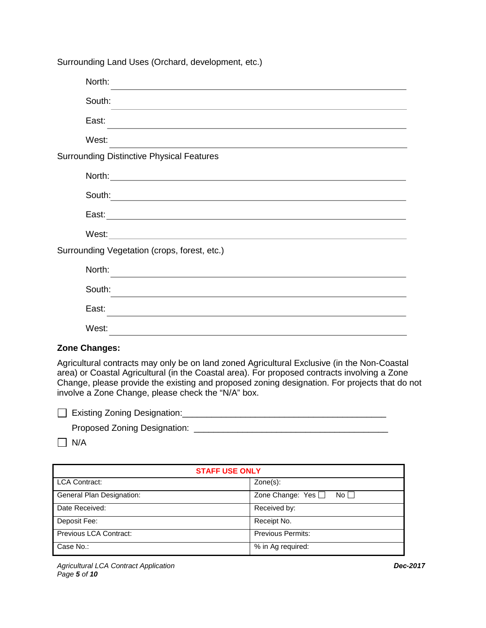Surrounding Land Uses (Orchard, development, etc.)

| North:                                                                                                                          |
|---------------------------------------------------------------------------------------------------------------------------------|
| South:<br>and the control of the control of the control of the control of the control of the control of the control of the      |
| East:                                                                                                                           |
| West:                                                                                                                           |
| <b>Surrounding Distinctive Physical Features</b>                                                                                |
|                                                                                                                                 |
|                                                                                                                                 |
|                                                                                                                                 |
|                                                                                                                                 |
| Surrounding Vegetation (crops, forest, etc.)                                                                                    |
| North:<br>the control of the control of the control of the control of the control of                                            |
| South:<br><u> 1989 - An Dùbhlachd ann an Dùbhlachd ann an Dùbhlachd ann an Dùbhlachd ann an Dùbhlachd ann an Dùbhlachd ann </u> |
| East:                                                                                                                           |
| West:                                                                                                                           |
|                                                                                                                                 |

#### **Zone Changes:**

Agricultural contracts may only be on land zoned Agricultural Exclusive (in the Non-Coastal area) or Coastal Agricultural (in the Coastal area). For proposed contracts involving a Zone Change, please provide the existing and proposed zoning designation. For projects that do not involve a Zone Change, please check the "N/A" box.

| Existing Zoning Designation: |  |
|------------------------------|--|
|                              |  |

| <b>Proposed Zoning Designation:</b> |  |
|-------------------------------------|--|
|                                     |  |

 $\Box$  N/A

| <b>STAFF USE ONLY</b>     |                                  |  |  |  |
|---------------------------|----------------------------------|--|--|--|
| <b>LCA Contract:</b>      | $Zone(s)$ :                      |  |  |  |
| General Plan Designation: | Zone Change: Yes $\Box$<br>No II |  |  |  |
| Date Received:            | Received by:                     |  |  |  |
| Deposit Fee:              | Receipt No.                      |  |  |  |
| Previous LCA Contract:    | <b>Previous Permits:</b>         |  |  |  |
| Case No.:                 | % in Ag required:                |  |  |  |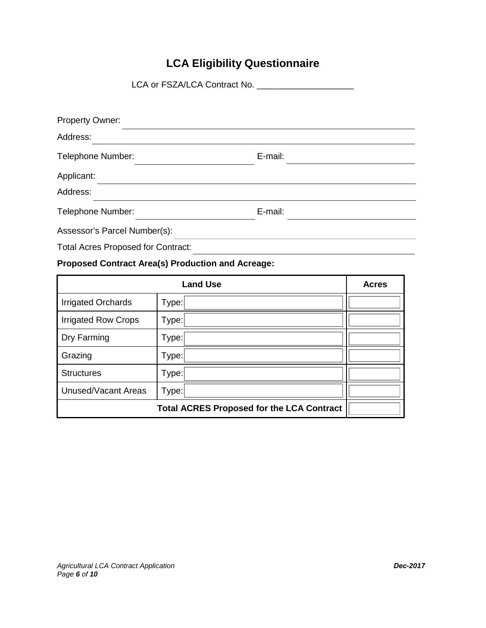# **LCA Eligibility Questionnaire**

LCA or FSZA/LCA Contract No. \_\_\_\_\_\_\_\_\_\_\_\_\_\_\_\_\_\_\_\_

| <b>Property Owner:</b>                    |         |  |
|-------------------------------------------|---------|--|
| Address:                                  |         |  |
| Telephone Number:                         | E-mail: |  |
| Applicant:                                |         |  |
| Address:                                  |         |  |
| Telephone Number:                         | E-mail: |  |
| Assessor's Parcel Number(s):              |         |  |
| <b>Total Acres Proposed for Contract:</b> |         |  |

### **Proposed Contract Area(s) Production and Acreage:**

|                            | <b>Acres</b>                                     |  |
|----------------------------|--------------------------------------------------|--|
| <b>Irrigated Orchards</b>  | Type:                                            |  |
| <b>Irrigated Row Crops</b> | Type:                                            |  |
| Dry Farming                | Type:                                            |  |
| Grazing                    | Type:                                            |  |
| <b>Structures</b>          | Type:                                            |  |
| <b>Unused/Vacant Areas</b> | Type:                                            |  |
|                            | <b>Total ACRES Proposed for the LCA Contract</b> |  |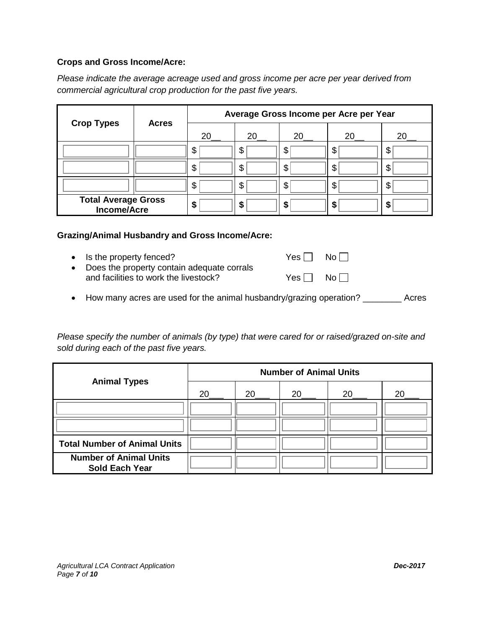#### **Crops and Gross Income/Acre:**

*Please indicate the average acreage used and gross income per acre per year derived from commercial agricultural crop production for the past five years.*

|                                                  |              | Average Gross Income per Acre per Year |    |    |    |    |
|--------------------------------------------------|--------------|----------------------------------------|----|----|----|----|
| <b>Crop Types</b>                                | <b>Acres</b> | 20                                     | 20 | 20 | 20 | 20 |
|                                                  |              | \$                                     | \$ | S  | \$ | \$ |
|                                                  |              | \$                                     | \$ | S  | \$ | \$ |
|                                                  |              | \$                                     | \$ | S  | \$ | \$ |
| <b>Total Average Gross</b><br><b>Income/Acre</b> |              | S                                      | \$ | S  | S  | \$ |

#### **Grazing/Animal Husbandry and Gross Income/Acre:**

• Is the property fenced?  $Yes \Box \quad No \Box$ 

- Does the property contain adequate corrals and facilities to work the livestock?  $Yes \Box \text{ No } \Box$
- How many acres are used for the animal husbandry/grazing operation? \_\_\_\_\_\_\_\_ Acres

*Please specify the number of animals (by type) that were cared for or raised/grazed on-site and sold during each of the past five years.*

| <b>Animal Types</b>                                    | <b>Number of Animal Units</b> |     |    |           |    |
|--------------------------------------------------------|-------------------------------|-----|----|-----------|----|
|                                                        | 20                            | 20. | 20 | <b>20</b> | 20 |
|                                                        |                               |     |    |           |    |
|                                                        |                               |     |    |           |    |
| <b>Total Number of Animal Units</b>                    |                               |     |    |           |    |
| <b>Number of Animal Units</b><br><b>Sold Each Year</b> |                               |     |    |           |    |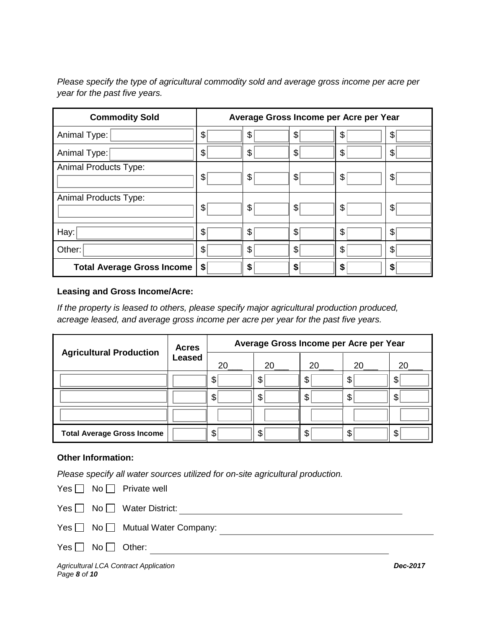*Please specify the type of agricultural commodity sold and average gross income per acre per year for the past five years.*

| <b>Commodity Sold</b>             | Average Gross Income per Acre per Year |    |    |    |    |
|-----------------------------------|----------------------------------------|----|----|----|----|
| Animal Type:                      | \$                                     | \$ | \$ | \$ | \$ |
| Animal Type:                      | \$                                     | \$ | \$ | \$ | S  |
| <b>Animal Products Type:</b>      | \$                                     | \$ | \$ | \$ | \$ |
| <b>Animal Products Type:</b>      | \$                                     | \$ | \$ | \$ | \$ |
| Hay:                              | \$                                     | \$ | \$ | \$ | S  |
| Other:                            | \$                                     | \$ | \$ | \$ | S  |
| <b>Total Average Gross Income</b> | \$                                     | \$ | \$ | \$ | S  |

#### **Leasing and Gross Income/Acre:**

*If the property is leased to others, please specify major agricultural production produced, acreage leased, and average gross income per acre per year for the past five years.*

| <b>Agricultural Production</b>    | <b>Acres</b>  | Average Gross Income per Acre per Year |    |    |    |    |
|-----------------------------------|---------------|----------------------------------------|----|----|----|----|
|                                   | <b>Leased</b> | 20                                     | 20 | 20 | 20 | 20 |
|                                   |               | \$                                     | \$ | \$ | \$ | S  |
|                                   |               | \$                                     | \$ | \$ | \$ | \$ |
|                                   |               |                                        |    |    |    |    |
| <b>Total Average Gross Income</b> |               | \$                                     | \$ | \$ | \$ | \$ |

#### **Other Information:**

*Please specify all water sources utilized for on-site agricultural production.*

|                           | $Yes \Box No \Box Prior$ Private well |  |
|---------------------------|---------------------------------------|--|
|                           | $Yes \Box No \Box Water District:$    |  |
|                           |                                       |  |
| $Yes \Box No \Box Other:$ |                                       |  |

*Agricultural LCA Contract Application Dec-2017 Page 8 of 10*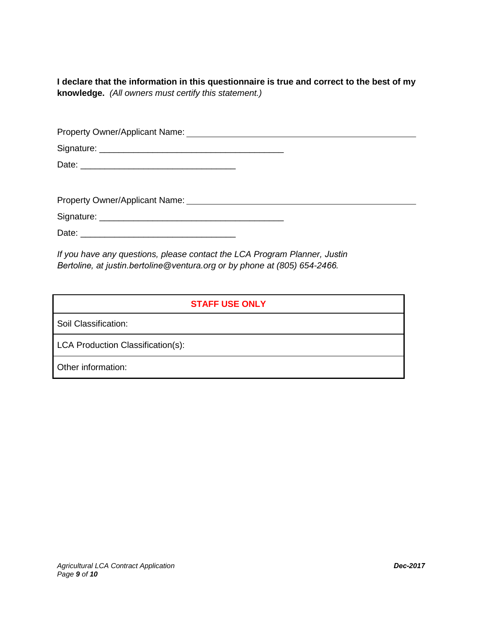**I declare that the information in this questionnaire is true and correct to the best of my knowledge.** *(All owners must certify this statement.)*

*If you have any questions, please contact the LCA Program Planner, Justin Bertoline, at justin.bertoline@ventura.org or by phone at (805) 654-2466.* 

#### **STAFF USE ONLY**

Soil Classification:

LCA Production Classification(s):

Other information: